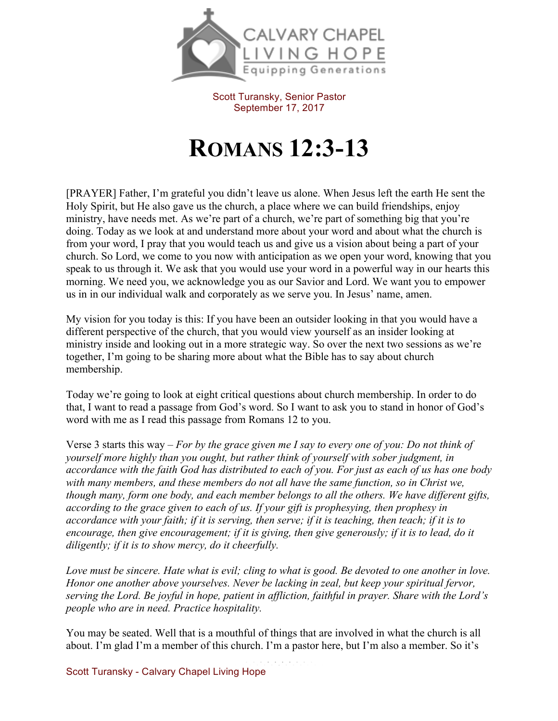

Scott Turansky, Senior Pastor September 17, 2017

## **ROMANS 12:3-13**

[PRAYER] Father, I'm grateful you didn't leave us alone. When Jesus left the earth He sent the Holy Spirit, but He also gave us the church, a place where we can build friendships, enjoy ministry, have needs met. As we're part of a church, we're part of something big that you're doing. Today as we look at and understand more about your word and about what the church is from your word, I pray that you would teach us and give us a vision about being a part of your church. So Lord, we come to you now with anticipation as we open your word, knowing that you speak to us through it. We ask that you would use your word in a powerful way in our hearts this morning. We need you, we acknowledge you as our Savior and Lord. We want you to empower us in in our individual walk and corporately as we serve you. In Jesus' name, amen.

My vision for you today is this: If you have been an outsider looking in that you would have a different perspective of the church, that you would view yourself as an insider looking at ministry inside and looking out in a more strategic way. So over the next two sessions as we're together, I'm going to be sharing more about what the Bible has to say about church membership.

Today we're going to look at eight critical questions about church membership. In order to do that, I want to read a passage from God's word. So I want to ask you to stand in honor of God's word with me as I read this passage from Romans 12 to you.

Verse 3 starts this way – *For by the grace given me I say to every one of you: Do not think of yourself more highly than you ought, but rather think of yourself with sober judgment, in accordance with the faith God has distributed to each of you. For just as each of us has one body with many members, and these members do not all have the same function, so in Christ we, though many, form one body, and each member belongs to all the others. We have different gifts, according to the grace given to each of us. If your gift is prophesying, then prophesy in accordance with your faith; if it is serving, then serve; if it is teaching, then teach; if it is to encourage, then give encouragement; if it is giving, then give generously; if it is to lead, do it diligently; if it is to show mercy, do it cheerfully.*

*Love must be sincere. Hate what is evil; cling to what is good. Be devoted to one another in love. Honor one another above yourselves. Never be lacking in zeal, but keep your spiritual fervor, serving the Lord. Be joyful in hope, patient in affliction, faithful in prayer. Share with the Lord's people who are in need. Practice hospitality.*

You may be seated. Well that is a mouthful of things that are involved in what the church is all about. I'm glad I'm a member of this church. I'm a pastor here, but I'm also a member. So it's

Scott Turansky - Calvary Chapel Living Hope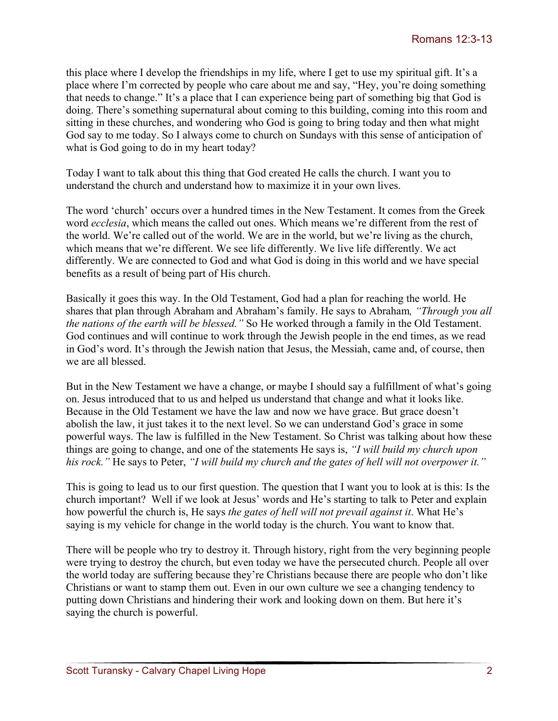this place where I develop the friendships in my life, where I get to use my spiritual gift. It's a place where I'm corrected by people who care about me and say, "Hey, you're doing something that needs to change." It's a place that I can experience being part of something big that God is doing. There's something supernatural about coming to this building, coming into this room and sitting in these churches, and wondering who God is going to bring today and then what might God say to me today. So I always come to church on Sundays with this sense of anticipation of what is God going to do in my heart today?

Today I want to talk about this thing that God created He calls the church. I want you to understand the church and understand how to maximize it in your own lives.

The word 'church' occurs over a hundred times in the New Testament. It comes from the Greek word *ecclesia*, which means the called out ones. Which means we're different from the rest of the world. We're called out of the world. We are in the world, but we're living as the church, which means that we're different. We see life differently. We live life differently. We act differently. We are connected to God and what God is doing in this world and we have special benefits as a result of being part of His church.

Basically it goes this way. In the Old Testament, God had a plan for reaching the world. He shares that plan through Abraham and Abraham's family. He says to Abraham*, "Through you all the nations of the earth will be blessed."* So He worked through a family in the Old Testament. God continues and will continue to work through the Jewish people in the end times, as we read in God's word. It's through the Jewish nation that Jesus, the Messiah, came and, of course, then we are all blessed.

But in the New Testament we have a change, or maybe I should say a fulfillment of what's going on. Jesus introduced that to us and helped us understand that change and what it looks like. Because in the Old Testament we have the law and now we have grace. But grace doesn't abolish the law, it just takes it to the next level. So we can understand God's grace in some powerful ways. The law is fulfilled in the New Testament. So Christ was talking about how these things are going to change, and one of the statements He says is, *"I will build my church upon his rock."* He says to Peter, *"I will build my church and the gates of hell will not overpower it."*

This is going to lead us to our first question. The question that I want you to look at is this: Is the church important? Well if we look at Jesus' words and He's starting to talk to Peter and explain how powerful the church is, He says *the gates of hell will not prevail against it*. What He's saying is my vehicle for change in the world today is the church. You want to know that.

There will be people who try to destroy it. Through history, right from the very beginning people were trying to destroy the church, but even today we have the persecuted church. People all over the world today are suffering because they're Christians because there are people who don't like Christians or want to stamp them out. Even in our own culture we see a changing tendency to putting down Christians and hindering their work and looking down on them. But here it's saying the church is powerful.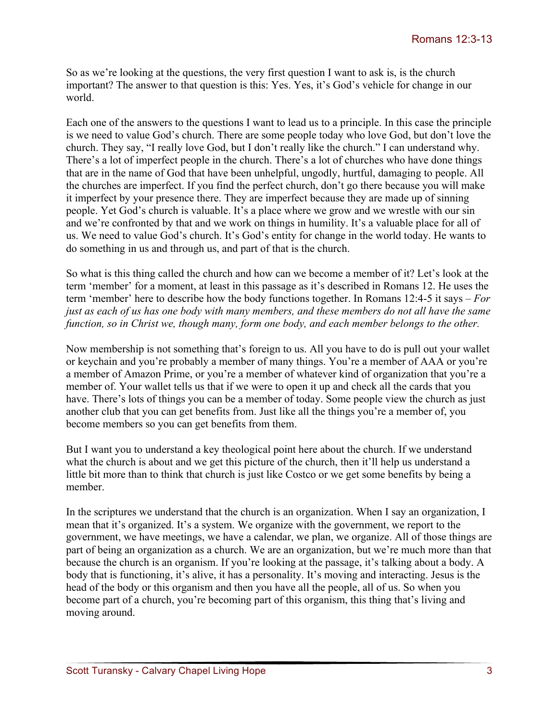So as we're looking at the questions, the very first question I want to ask is, is the church important? The answer to that question is this: Yes. Yes, it's God's vehicle for change in our world.

Each one of the answers to the questions I want to lead us to a principle. In this case the principle is we need to value God's church. There are some people today who love God, but don't love the church. They say, "I really love God, but I don't really like the church." I can understand why. There's a lot of imperfect people in the church. There's a lot of churches who have done things that are in the name of God that have been unhelpful, ungodly, hurtful, damaging to people. All the churches are imperfect. If you find the perfect church, don't go there because you will make it imperfect by your presence there. They are imperfect because they are made up of sinning people. Yet God's church is valuable. It's a place where we grow and we wrestle with our sin and we're confronted by that and we work on things in humility. It's a valuable place for all of us. We need to value God's church. It's God's entity for change in the world today. He wants to do something in us and through us, and part of that is the church.

So what is this thing called the church and how can we become a member of it? Let's look at the term 'member' for a moment, at least in this passage as it's described in Romans 12. He uses the term 'member' here to describe how the body functions together. In Romans 12:4-5 it says – *For just as each of us has one body with many members, and these members do not all have the same function, so in Christ we, though many, form one body, and each member belongs to the other.* 

Now membership is not something that's foreign to us. All you have to do is pull out your wallet or keychain and you're probably a member of many things. You're a member of AAA or you're a member of Amazon Prime, or you're a member of whatever kind of organization that you're a member of. Your wallet tells us that if we were to open it up and check all the cards that you have. There's lots of things you can be a member of today. Some people view the church as just another club that you can get benefits from. Just like all the things you're a member of, you become members so you can get benefits from them.

But I want you to understand a key theological point here about the church. If we understand what the church is about and we get this picture of the church, then it'll help us understand a little bit more than to think that church is just like Costco or we get some benefits by being a member.

In the scriptures we understand that the church is an organization. When I say an organization, I mean that it's organized. It's a system. We organize with the government, we report to the government, we have meetings, we have a calendar, we plan, we organize. All of those things are part of being an organization as a church. We are an organization, but we're much more than that because the church is an organism. If you're looking at the passage, it's talking about a body. A body that is functioning, it's alive, it has a personality. It's moving and interacting. Jesus is the head of the body or this organism and then you have all the people, all of us. So when you become part of a church, you're becoming part of this organism, this thing that's living and moving around.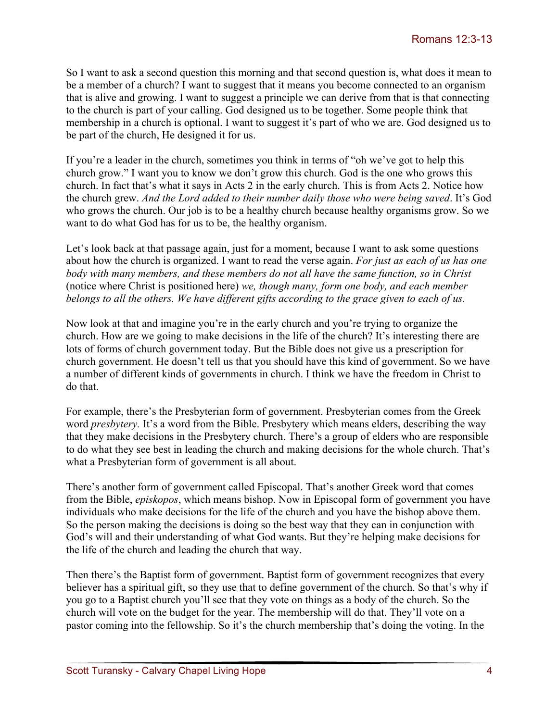So I want to ask a second question this morning and that second question is, what does it mean to be a member of a church? I want to suggest that it means you become connected to an organism that is alive and growing. I want to suggest a principle we can derive from that is that connecting to the church is part of your calling. God designed us to be together. Some people think that membership in a church is optional. I want to suggest it's part of who we are. God designed us to be part of the church, He designed it for us.

If you're a leader in the church, sometimes you think in terms of "oh we've got to help this church grow." I want you to know we don't grow this church. God is the one who grows this church. In fact that's what it says in Acts 2 in the early church. This is from Acts 2. Notice how the church grew. *And the Lord added to their number daily those who were being saved*. It's God who grows the church. Our job is to be a healthy church because healthy organisms grow. So we want to do what God has for us to be, the healthy organism.

Let's look back at that passage again, just for a moment, because I want to ask some questions about how the church is organized. I want to read the verse again. *For just as each of us has one body with many members, and these members do not all have the same function, so in Christ*  (notice where Christ is positioned here) *we, though many, form one body, and each member belongs to all the others. We have different gifts according to the grace given to each of us.* 

Now look at that and imagine you're in the early church and you're trying to organize the church. How are we going to make decisions in the life of the church? It's interesting there are lots of forms of church government today. But the Bible does not give us a prescription for church government. He doesn't tell us that you should have this kind of government. So we have a number of different kinds of governments in church. I think we have the freedom in Christ to do that.

For example, there's the Presbyterian form of government. Presbyterian comes from the Greek word *presbytery.* It's a word from the Bible. Presbytery which means elders, describing the way that they make decisions in the Presbytery church. There's a group of elders who are responsible to do what they see best in leading the church and making decisions for the whole church. That's what a Presbyterian form of government is all about.

There's another form of government called Episcopal. That's another Greek word that comes from the Bible, *episkopos*, which means bishop. Now in Episcopal form of government you have individuals who make decisions for the life of the church and you have the bishop above them. So the person making the decisions is doing so the best way that they can in conjunction with God's will and their understanding of what God wants. But they're helping make decisions for the life of the church and leading the church that way.

Then there's the Baptist form of government. Baptist form of government recognizes that every believer has a spiritual gift, so they use that to define government of the church. So that's why if you go to a Baptist church you'll see that they vote on things as a body of the church. So the church will vote on the budget for the year. The membership will do that. They'll vote on a pastor coming into the fellowship. So it's the church membership that's doing the voting. In the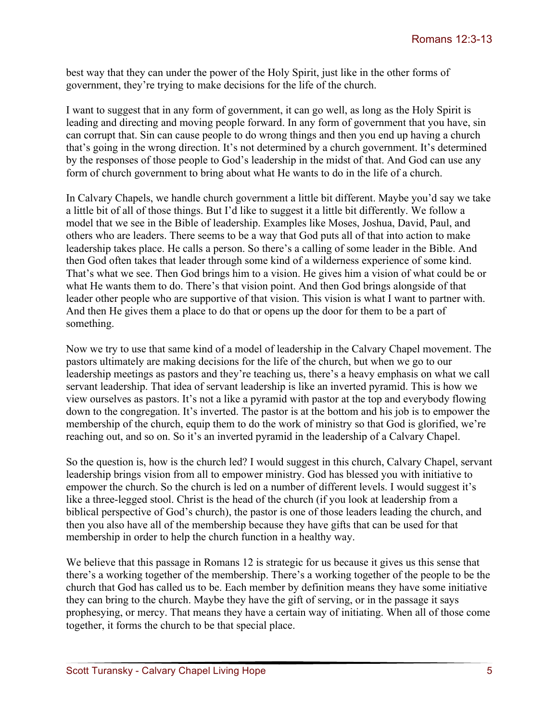best way that they can under the power of the Holy Spirit, just like in the other forms of government, they're trying to make decisions for the life of the church.

I want to suggest that in any form of government, it can go well, as long as the Holy Spirit is leading and directing and moving people forward. In any form of government that you have, sin can corrupt that. Sin can cause people to do wrong things and then you end up having a church that's going in the wrong direction. It's not determined by a church government. It's determined by the responses of those people to God's leadership in the midst of that. And God can use any form of church government to bring about what He wants to do in the life of a church.

In Calvary Chapels, we handle church government a little bit different. Maybe you'd say we take a little bit of all of those things. But I'd like to suggest it a little bit differently. We follow a model that we see in the Bible of leadership. Examples like Moses, Joshua, David, Paul, and others who are leaders. There seems to be a way that God puts all of that into action to make leadership takes place. He calls a person. So there's a calling of some leader in the Bible. And then God often takes that leader through some kind of a wilderness experience of some kind. That's what we see. Then God brings him to a vision. He gives him a vision of what could be or what He wants them to do. There's that vision point. And then God brings alongside of that leader other people who are supportive of that vision. This vision is what I want to partner with. And then He gives them a place to do that or opens up the door for them to be a part of something.

Now we try to use that same kind of a model of leadership in the Calvary Chapel movement. The pastors ultimately are making decisions for the life of the church, but when we go to our leadership meetings as pastors and they're teaching us, there's a heavy emphasis on what we call servant leadership. That idea of servant leadership is like an inverted pyramid. This is how we view ourselves as pastors. It's not a like a pyramid with pastor at the top and everybody flowing down to the congregation. It's inverted. The pastor is at the bottom and his job is to empower the membership of the church, equip them to do the work of ministry so that God is glorified, we're reaching out, and so on. So it's an inverted pyramid in the leadership of a Calvary Chapel.

So the question is, how is the church led? I would suggest in this church, Calvary Chapel, servant leadership brings vision from all to empower ministry. God has blessed you with initiative to empower the church. So the church is led on a number of different levels. I would suggest it's like a three-legged stool. Christ is the head of the church (if you look at leadership from a biblical perspective of God's church), the pastor is one of those leaders leading the church, and then you also have all of the membership because they have gifts that can be used for that membership in order to help the church function in a healthy way.

We believe that this passage in Romans 12 is strategic for us because it gives us this sense that there's a working together of the membership. There's a working together of the people to be the church that God has called us to be. Each member by definition means they have some initiative they can bring to the church. Maybe they have the gift of serving, or in the passage it says prophesying, or mercy. That means they have a certain way of initiating. When all of those come together, it forms the church to be that special place.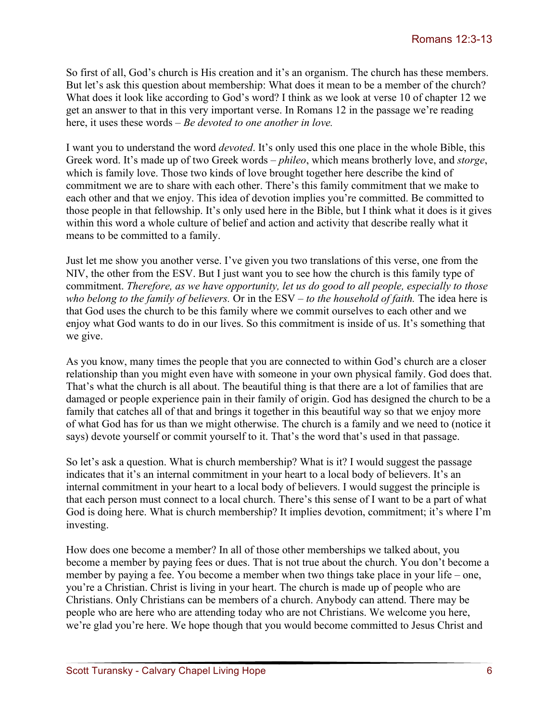So first of all, God's church is His creation and it's an organism. The church has these members. But let's ask this question about membership: What does it mean to be a member of the church? What does it look like according to God's word? I think as we look at verse 10 of chapter 12 we get an answer to that in this very important verse. In Romans 12 in the passage we're reading here, it uses these words – *Be devoted to one another in love.* 

I want you to understand the word *devoted*. It's only used this one place in the whole Bible, this Greek word. It's made up of two Greek words – *phileo*, which means brotherly love, and *storge*, which is family love. Those two kinds of love brought together here describe the kind of commitment we are to share with each other. There's this family commitment that we make to each other and that we enjoy. This idea of devotion implies you're committed. Be committed to those people in that fellowship. It's only used here in the Bible, but I think what it does is it gives within this word a whole culture of belief and action and activity that describe really what it means to be committed to a family.

Just let me show you another verse. I've given you two translations of this verse, one from the NIV, the other from the ESV. But I just want you to see how the church is this family type of commitment. *Therefore, as we have opportunity, let us do good to all people, especially to those who belong to the family of believers.* Or in the ESV – *to the household of faith.* The idea here is that God uses the church to be this family where we commit ourselves to each other and we enjoy what God wants to do in our lives. So this commitment is inside of us. It's something that we give.

As you know, many times the people that you are connected to within God's church are a closer relationship than you might even have with someone in your own physical family. God does that. That's what the church is all about. The beautiful thing is that there are a lot of families that are damaged or people experience pain in their family of origin. God has designed the church to be a family that catches all of that and brings it together in this beautiful way so that we enjoy more of what God has for us than we might otherwise. The church is a family and we need to (notice it says) devote yourself or commit yourself to it. That's the word that's used in that passage.

So let's ask a question. What is church membership? What is it? I would suggest the passage indicates that it's an internal commitment in your heart to a local body of believers. It's an internal commitment in your heart to a local body of believers. I would suggest the principle is that each person must connect to a local church. There's this sense of I want to be a part of what God is doing here. What is church membership? It implies devotion, commitment; it's where I'm investing.

How does one become a member? In all of those other memberships we talked about, you become a member by paying fees or dues. That is not true about the church. You don't become a member by paying a fee. You become a member when two things take place in your life – one, you're a Christian. Christ is living in your heart. The church is made up of people who are Christians. Only Christians can be members of a church. Anybody can attend. There may be people who are here who are attending today who are not Christians. We welcome you here, we're glad you're here. We hope though that you would become committed to Jesus Christ and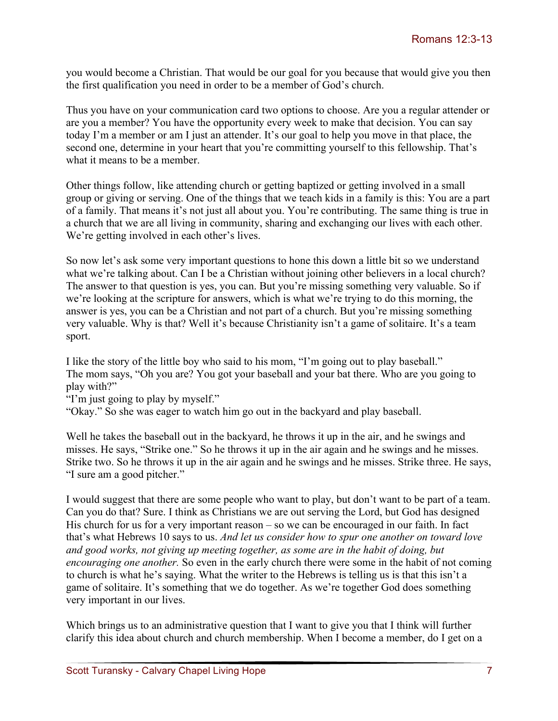you would become a Christian. That would be our goal for you because that would give you then the first qualification you need in order to be a member of God's church.

Thus you have on your communication card two options to choose. Are you a regular attender or are you a member? You have the opportunity every week to make that decision. You can say today I'm a member or am I just an attender. It's our goal to help you move in that place, the second one, determine in your heart that you're committing yourself to this fellowship. That's what it means to be a member.

Other things follow, like attending church or getting baptized or getting involved in a small group or giving or serving. One of the things that we teach kids in a family is this: You are a part of a family. That means it's not just all about you. You're contributing. The same thing is true in a church that we are all living in community, sharing and exchanging our lives with each other. We're getting involved in each other's lives.

So now let's ask some very important questions to hone this down a little bit so we understand what we're talking about. Can I be a Christian without joining other believers in a local church? The answer to that question is yes, you can. But you're missing something very valuable. So if we're looking at the scripture for answers, which is what we're trying to do this morning, the answer is yes, you can be a Christian and not part of a church. But you're missing something very valuable. Why is that? Well it's because Christianity isn't a game of solitaire. It's a team sport.

I like the story of the little boy who said to his mom, "I'm going out to play baseball." The mom says, "Oh you are? You got your baseball and your bat there. Who are you going to play with?"

"I'm just going to play by myself."

"Okay." So she was eager to watch him go out in the backyard and play baseball.

Well he takes the baseball out in the backyard, he throws it up in the air, and he swings and misses. He says, "Strike one." So he throws it up in the air again and he swings and he misses. Strike two. So he throws it up in the air again and he swings and he misses. Strike three. He says, "I sure am a good pitcher."

I would suggest that there are some people who want to play, but don't want to be part of a team. Can you do that? Sure. I think as Christians we are out serving the Lord, but God has designed His church for us for a very important reason – so we can be encouraged in our faith. In fact that's what Hebrews 10 says to us. *And let us consider how to spur one another on toward love and good works, not giving up meeting together, as some are in the habit of doing, but encouraging one another.* So even in the early church there were some in the habit of not coming to church is what he's saying. What the writer to the Hebrews is telling us is that this isn't a game of solitaire. It's something that we do together. As we're together God does something very important in our lives.

Which brings us to an administrative question that I want to give you that I think will further clarify this idea about church and church membership. When I become a member, do I get on a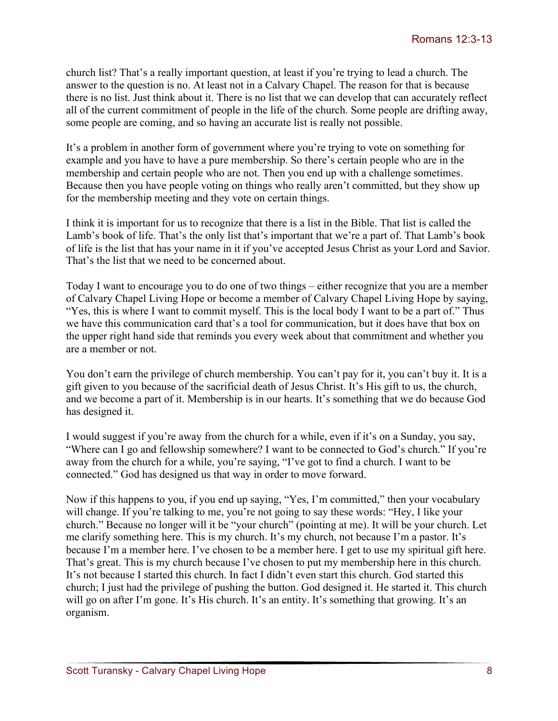church list? That's a really important question, at least if you're trying to lead a church. The answer to the question is no. At least not in a Calvary Chapel. The reason for that is because there is no list. Just think about it. There is no list that we can develop that can accurately reflect all of the current commitment of people in the life of the church. Some people are drifting away, some people are coming, and so having an accurate list is really not possible.

It's a problem in another form of government where you're trying to vote on something for example and you have to have a pure membership. So there's certain people who are in the membership and certain people who are not. Then you end up with a challenge sometimes. Because then you have people voting on things who really aren't committed, but they show up for the membership meeting and they vote on certain things.

I think it is important for us to recognize that there is a list in the Bible. That list is called the Lamb's book of life. That's the only list that's important that we're a part of. That Lamb's book of life is the list that has your name in it if you've accepted Jesus Christ as your Lord and Savior. That's the list that we need to be concerned about.

Today I want to encourage you to do one of two things – either recognize that you are a member of Calvary Chapel Living Hope or become a member of Calvary Chapel Living Hope by saying, "Yes, this is where I want to commit myself. This is the local body I want to be a part of." Thus we have this communication card that's a tool for communication, but it does have that box on the upper right hand side that reminds you every week about that commitment and whether you are a member or not.

You don't earn the privilege of church membership. You can't pay for it, you can't buy it. It is a gift given to you because of the sacrificial death of Jesus Christ. It's His gift to us, the church, and we become a part of it. Membership is in our hearts. It's something that we do because God has designed it.

I would suggest if you're away from the church for a while, even if it's on a Sunday, you say, "Where can I go and fellowship somewhere? I want to be connected to God's church." If you're away from the church for a while, you're saying, "I've got to find a church. I want to be connected." God has designed us that way in order to move forward.

Now if this happens to you, if you end up saying, "Yes, I'm committed," then your vocabulary will change. If you're talking to me, you're not going to say these words: "Hey, I like your church." Because no longer will it be "your church" (pointing at me). It will be your church. Let me clarify something here. This is my church. It's my church, not because I'm a pastor. It's because I'm a member here. I've chosen to be a member here. I get to use my spiritual gift here. That's great. This is my church because I've chosen to put my membership here in this church. It's not because I started this church. In fact I didn't even start this church. God started this church; I just had the privilege of pushing the button. God designed it. He started it. This church will go on after I'm gone. It's His church. It's an entity. It's something that growing. It's an organism.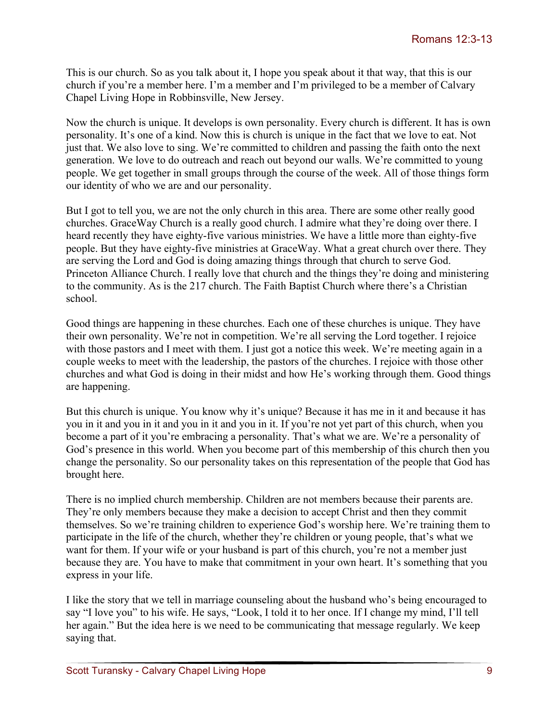This is our church. So as you talk about it, I hope you speak about it that way, that this is our church if you're a member here. I'm a member and I'm privileged to be a member of Calvary Chapel Living Hope in Robbinsville, New Jersey.

Now the church is unique. It develops is own personality. Every church is different. It has is own personality. It's one of a kind. Now this is church is unique in the fact that we love to eat. Not just that. We also love to sing. We're committed to children and passing the faith onto the next generation. We love to do outreach and reach out beyond our walls. We're committed to young people. We get together in small groups through the course of the week. All of those things form our identity of who we are and our personality.

But I got to tell you, we are not the only church in this area. There are some other really good churches. GraceWay Church is a really good church. I admire what they're doing over there. I heard recently they have eighty-five various ministries. We have a little more than eighty-five people. But they have eighty-five ministries at GraceWay. What a great church over there. They are serving the Lord and God is doing amazing things through that church to serve God. Princeton Alliance Church. I really love that church and the things they're doing and ministering to the community. As is the 217 church. The Faith Baptist Church where there's a Christian school.

Good things are happening in these churches. Each one of these churches is unique. They have their own personality. We're not in competition. We're all serving the Lord together. I rejoice with those pastors and I meet with them. I just got a notice this week. We're meeting again in a couple weeks to meet with the leadership, the pastors of the churches. I rejoice with those other churches and what God is doing in their midst and how He's working through them. Good things are happening.

But this church is unique. You know why it's unique? Because it has me in it and because it has you in it and you in it and you in it and you in it. If you're not yet part of this church, when you become a part of it you're embracing a personality. That's what we are. We're a personality of God's presence in this world. When you become part of this membership of this church then you change the personality. So our personality takes on this representation of the people that God has brought here.

There is no implied church membership. Children are not members because their parents are. They're only members because they make a decision to accept Christ and then they commit themselves. So we're training children to experience God's worship here. We're training them to participate in the life of the church, whether they're children or young people, that's what we want for them. If your wife or your husband is part of this church, you're not a member just because they are. You have to make that commitment in your own heart. It's something that you express in your life.

I like the story that we tell in marriage counseling about the husband who's being encouraged to say "I love you" to his wife. He says, "Look, I told it to her once. If I change my mind, I'll tell her again." But the idea here is we need to be communicating that message regularly. We keep saying that.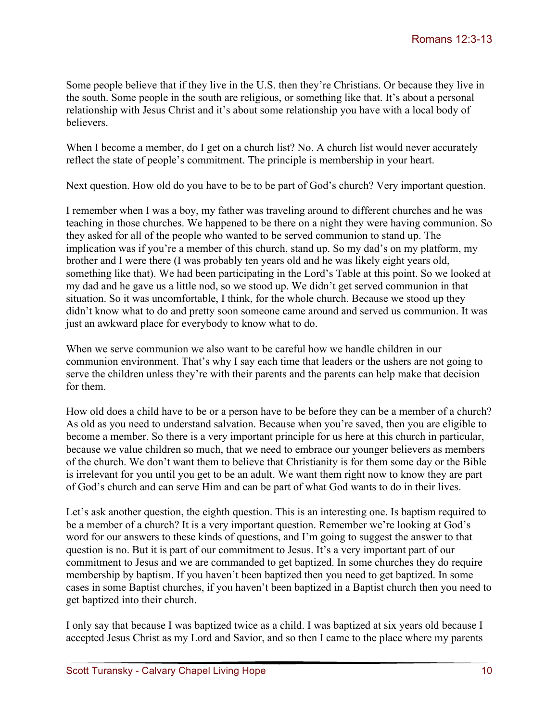Some people believe that if they live in the U.S. then they're Christians. Or because they live in the south. Some people in the south are religious, or something like that. It's about a personal relationship with Jesus Christ and it's about some relationship you have with a local body of believers.

When I become a member, do I get on a church list? No. A church list would never accurately reflect the state of people's commitment. The principle is membership in your heart.

Next question. How old do you have to be to be part of God's church? Very important question.

I remember when I was a boy, my father was traveling around to different churches and he was teaching in those churches. We happened to be there on a night they were having communion. So they asked for all of the people who wanted to be served communion to stand up. The implication was if you're a member of this church, stand up. So my dad's on my platform, my brother and I were there (I was probably ten years old and he was likely eight years old, something like that). We had been participating in the Lord's Table at this point. So we looked at my dad and he gave us a little nod, so we stood up. We didn't get served communion in that situation. So it was uncomfortable, I think, for the whole church. Because we stood up they didn't know what to do and pretty soon someone came around and served us communion. It was just an awkward place for everybody to know what to do.

When we serve communion we also want to be careful how we handle children in our communion environment. That's why I say each time that leaders or the ushers are not going to serve the children unless they're with their parents and the parents can help make that decision for them.

How old does a child have to be or a person have to be before they can be a member of a church? As old as you need to understand salvation. Because when you're saved, then you are eligible to become a member. So there is a very important principle for us here at this church in particular, because we value children so much, that we need to embrace our younger believers as members of the church. We don't want them to believe that Christianity is for them some day or the Bible is irrelevant for you until you get to be an adult. We want them right now to know they are part of God's church and can serve Him and can be part of what God wants to do in their lives.

Let's ask another question, the eighth question. This is an interesting one. Is baptism required to be a member of a church? It is a very important question. Remember we're looking at God's word for our answers to these kinds of questions, and I'm going to suggest the answer to that question is no. But it is part of our commitment to Jesus. It's a very important part of our commitment to Jesus and we are commanded to get baptized. In some churches they do require membership by baptism. If you haven't been baptized then you need to get baptized. In some cases in some Baptist churches, if you haven't been baptized in a Baptist church then you need to get baptized into their church.

I only say that because I was baptized twice as a child. I was baptized at six years old because I accepted Jesus Christ as my Lord and Savior, and so then I came to the place where my parents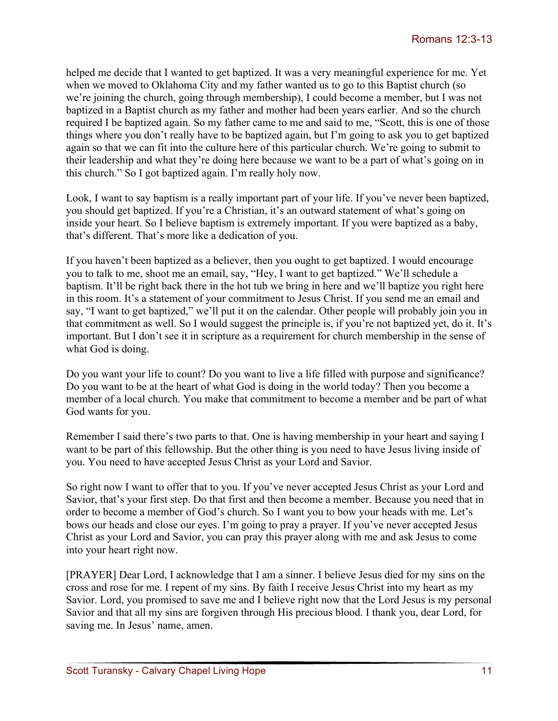helped me decide that I wanted to get baptized. It was a very meaningful experience for me. Yet when we moved to Oklahoma City and my father wanted us to go to this Baptist church (so we're joining the church, going through membership), I could become a member, but I was not baptized in a Baptist church as my father and mother had been years earlier. And so the church required I be baptized again. So my father came to me and said to me, "Scott, this is one of those things where you don't really have to be baptized again, but I'm going to ask you to get baptized again so that we can fit into the culture here of this particular church. We're going to submit to their leadership and what they're doing here because we want to be a part of what's going on in this church." So I got baptized again. I'm really holy now.

Look, I want to say baptism is a really important part of your life. If you've never been baptized, you should get baptized. If you're a Christian, it's an outward statement of what's going on inside your heart. So I believe baptism is extremely important. If you were baptized as a baby, that's different. That's more like a dedication of you.

If you haven't been baptized as a believer, then you ought to get baptized. I would encourage you to talk to me, shoot me an email, say, "Hey, I want to get baptized." We'll schedule a baptism. It'll be right back there in the hot tub we bring in here and we'll baptize you right here in this room. It's a statement of your commitment to Jesus Christ. If you send me an email and say, "I want to get baptized," we'll put it on the calendar. Other people will probably join you in that commitment as well. So I would suggest the principle is, if you're not baptized yet, do it. It's important. But I don't see it in scripture as a requirement for church membership in the sense of what God is doing.

Do you want your life to count? Do you want to live a life filled with purpose and significance? Do you want to be at the heart of what God is doing in the world today? Then you become a member of a local church. You make that commitment to become a member and be part of what God wants for you.

Remember I said there's two parts to that. One is having membership in your heart and saying I want to be part of this fellowship. But the other thing is you need to have Jesus living inside of you. You need to have accepted Jesus Christ as your Lord and Savior.

So right now I want to offer that to you. If you've never accepted Jesus Christ as your Lord and Savior, that's your first step. Do that first and then become a member. Because you need that in order to become a member of God's church. So I want you to bow your heads with me. Let's bows our heads and close our eyes. I'm going to pray a prayer. If you've never accepted Jesus Christ as your Lord and Savior, you can pray this prayer along with me and ask Jesus to come into your heart right now.

[PRAYER] Dear Lord, I acknowledge that I am a sinner. I believe Jesus died for my sins on the cross and rose for me. I repent of my sins. By faith I receive Jesus Christ into my heart as my Savior. Lord, you promised to save me and I believe right now that the Lord Jesus is my personal Savior and that all my sins are forgiven through His precious blood. I thank you, dear Lord, for saving me. In Jesus' name, amen.